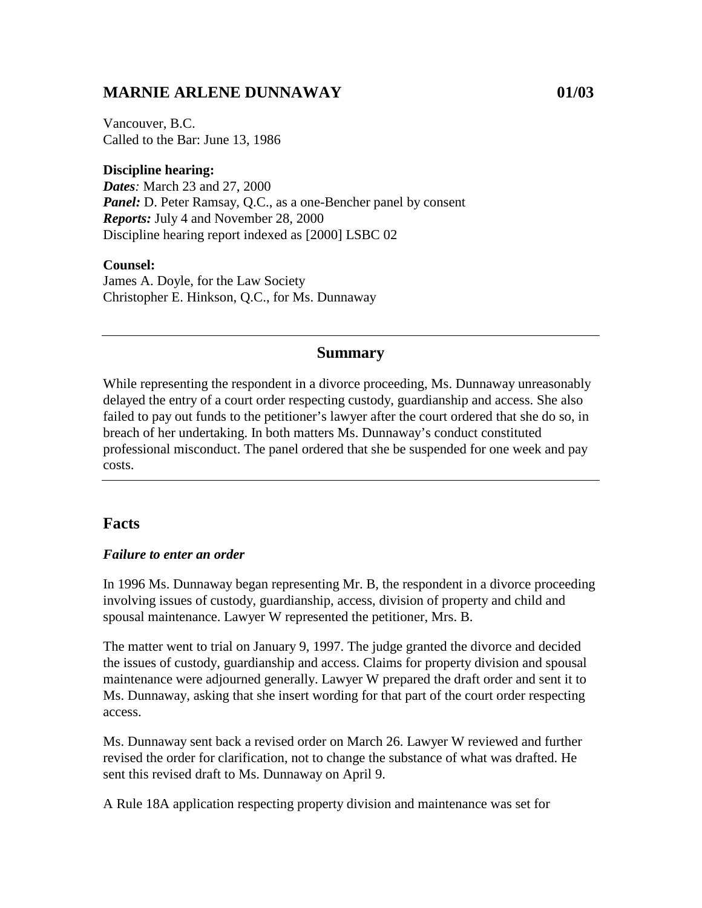# **MARNIE ARLENE DUNNAWAY 01/03**

Vancouver, B.C. Called to the Bar: June 13, 1986

### **Discipline hearing:**

*Dates:* March 23 and 27, 2000 *Panel:* D. Peter Ramsay, Q.C., as a one-Bencher panel by consent *Reports:* July 4 and November 28, 2000 Discipline hearing report indexed as [2000] LSBC 02

#### **Counsel:**

James A. Doyle, for the Law Society Christopher E. Hinkson, Q.C., for Ms. Dunnaway

### **Summary**

While representing the respondent in a divorce proceeding, Ms. Dunnaway unreasonably delayed the entry of a court order respecting custody, guardianship and access. She also failed to pay out funds to the petitioner's lawyer after the court ordered that she do so, in breach of her undertaking. In both matters Ms. Dunnaway's conduct constituted professional misconduct. The panel ordered that she be suspended for one week and pay costs.

## **Facts**

#### *Failure to enter an order*

In 1996 Ms. Dunnaway began representing Mr. B, the respondent in a divorce proceeding involving issues of custody, guardianship, access, division of property and child and spousal maintenance. Lawyer W represented the petitioner, Mrs. B.

The matter went to trial on January 9, 1997. The judge granted the divorce and decided the issues of custody, guardianship and access. Claims for property division and spousal maintenance were adjourned generally. Lawyer W prepared the draft order and sent it to Ms. Dunnaway, asking that she insert wording for that part of the court order respecting access.

Ms. Dunnaway sent back a revised order on March 26. Lawyer W reviewed and further revised the order for clarification, not to change the substance of what was drafted. He sent this revised draft to Ms. Dunnaway on April 9.

A Rule 18A application respecting property division and maintenance was set for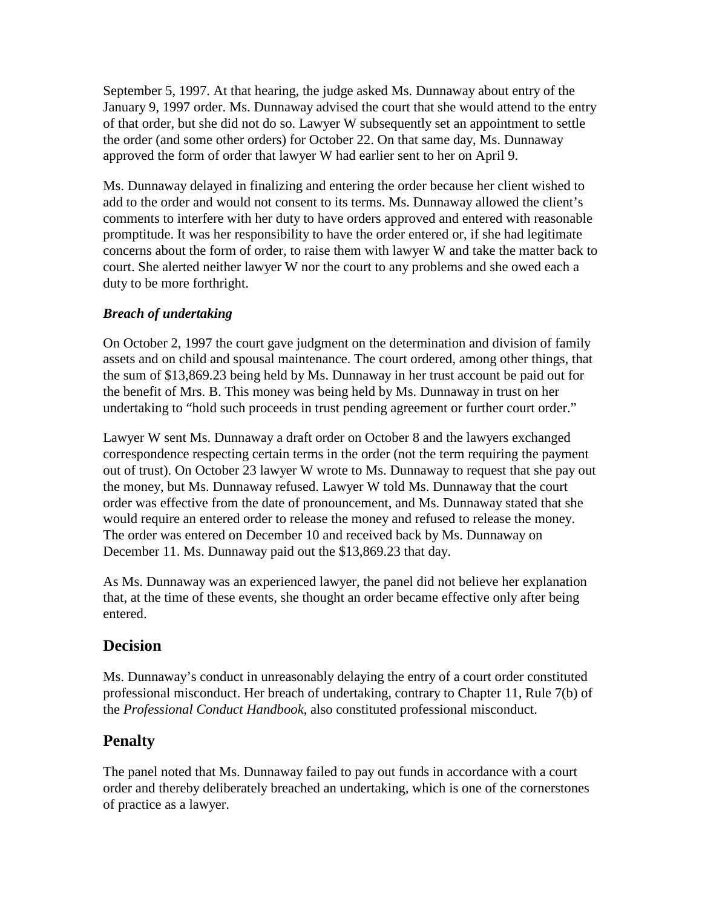September 5, 1997. At that hearing, the judge asked Ms. Dunnaway about entry of the January 9, 1997 order. Ms. Dunnaway advised the court that she would attend to the entry of that order, but she did not do so. Lawyer W subsequently set an appointment to settle the order (and some other orders) for October 22. On that same day, Ms. Dunnaway approved the form of order that lawyer W had earlier sent to her on April 9.

Ms. Dunnaway delayed in finalizing and entering the order because her client wished to add to the order and would not consent to its terms. Ms. Dunnaway allowed the client's comments to interfere with her duty to have orders approved and entered with reasonable promptitude. It was her responsibility to have the order entered or, if she had legitimate concerns about the form of order, to raise them with lawyer W and take the matter back to court. She alerted neither lawyer W nor the court to any problems and she owed each a duty to be more forthright.

## *Breach of undertaking*

On October 2, 1997 the court gave judgment on the determination and division of family assets and on child and spousal maintenance. The court ordered, among other things, that the sum of \$13,869.23 being held by Ms. Dunnaway in her trust account be paid out for the benefit of Mrs. B. This money was being held by Ms. Dunnaway in trust on her undertaking to "hold such proceeds in trust pending agreement or further court order."

Lawyer W sent Ms. Dunnaway a draft order on October 8 and the lawyers exchanged correspondence respecting certain terms in the order (not the term requiring the payment out of trust). On October 23 lawyer W wrote to Ms. Dunnaway to request that she pay out the money, but Ms. Dunnaway refused. Lawyer W told Ms. Dunnaway that the court order was effective from the date of pronouncement, and Ms. Dunnaway stated that she would require an entered order to release the money and refused to release the money. The order was entered on December 10 and received back by Ms. Dunnaway on December 11. Ms. Dunnaway paid out the \$13,869.23 that day.

As Ms. Dunnaway was an experienced lawyer, the panel did not believe her explanation that, at the time of these events, she thought an order became effective only after being entered.

## **Decision**

Ms. Dunnaway's conduct in unreasonably delaying the entry of a court order constituted professional misconduct. Her breach of undertaking, contrary to Chapter 11, Rule 7(b) of the *Professional Conduct Handbook*, also constituted professional misconduct.

# **Penalty**

The panel noted that Ms. Dunnaway failed to pay out funds in accordance with a court order and thereby deliberately breached an undertaking, which is one of the cornerstones of practice as a lawyer.